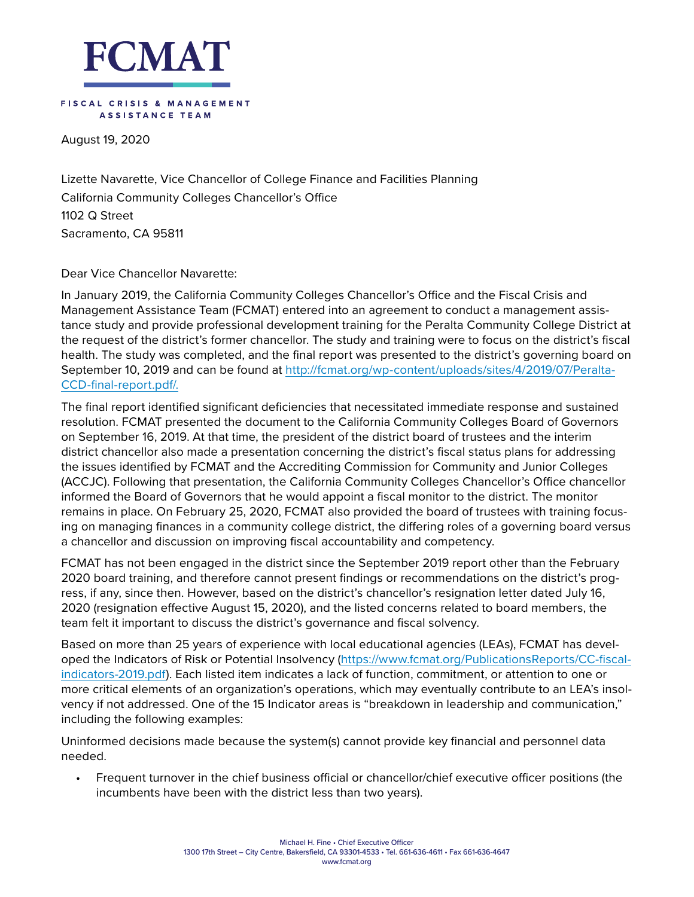

## FISCAL CRISIS & MANAGEMENT ASSISTANCE TEAM

August 19, 2020

Lizette Navarette, Vice Chancellor of College Finance and Facilities Planning California Community Colleges Chancellor's Office 1102 Q Street Sacramento, CA 95811

Dear Vice Chancellor Navarette:

In January 2019, the California Community Colleges Chancellor's Office and the Fiscal Crisis and Management Assistance Team (FCMAT) entered into an agreement to conduct a management assistance study and provide professional development training for the Peralta Community College District at the request of the district's former chancellor. The study and training were to focus on the district's fiscal health. The study was completed, and the final report was presented to the district's governing board on September 10, 2019 and can be found at [http://fcmat.org/wp-content/uploads/sites/4/2019/07/Peralta-](http://fcmat.org/wp-content/uploads/sites/4/2019/07/Peralta-CCD-final-report.pdf/)[CCD-final-report.pdf/](http://fcmat.org/wp-content/uploads/sites/4/2019/07/Peralta-CCD-final-report.pdf/).

The final report identified significant deficiencies that necessitated immediate response and sustained resolution. FCMAT presented the document to the California Community Colleges Board of Governors on September 16, 2019. At that time, the president of the district board of trustees and the interim district chancellor also made a presentation concerning the district's fiscal status plans for addressing the issues identified by FCMAT and the Accrediting Commission for Community and Junior Colleges (ACCJC). Following that presentation, the California Community Colleges Chancellor's Office chancellor informed the Board of Governors that he would appoint a fiscal monitor to the district. The monitor remains in place. On February 25, 2020, FCMAT also provided the board of trustees with training focusing on managing finances in a community college district, the differing roles of a governing board versus a chancellor and discussion on improving fiscal accountability and competency.

FCMAT has not been engaged in the district since the September 2019 report other than the February 2020 board training, and therefore cannot present findings or recommendations on the district's progress, if any, since then. However, based on the district's chancellor's resignation letter dated July 16, 2020 (resignation effective August 15, 2020), and the listed concerns related to board members, the team felt it important to discuss the district's governance and fiscal solvency.

Based on more than 25 years of experience with local educational agencies (LEAs), FCMAT has developed the Indicators of Risk or Potential Insolvency ([https://www.fcmat.org/PublicationsReports/CC-fiscal](https://www.fcmat.org/PublicationsReports/CC-fiscal-indicators-2019.pdf)[indicators-2019.pdf\)](https://www.fcmat.org/PublicationsReports/CC-fiscal-indicators-2019.pdf). Each listed item indicates a lack of function, commitment, or attention to one or more critical elements of an organization's operations, which may eventually contribute to an LEA's insolvency if not addressed. One of the 15 Indicator areas is "breakdown in leadership and communication," including the following examples:

Uninformed decisions made because the system(s) cannot provide key financial and personnel data needed.

• Frequent turnover in the chief business official or chancellor/chief executive officer positions (the incumbents have been with the district less than two years).